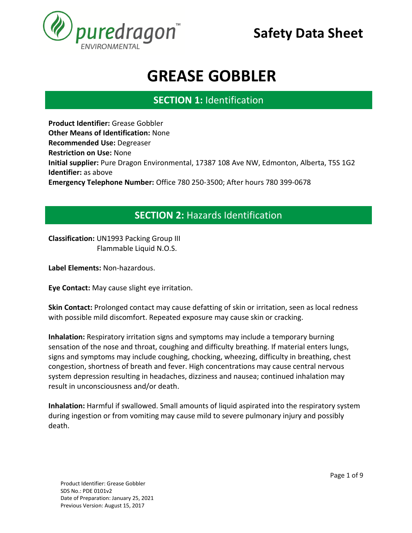

# **GREASE GOBBLER**

### **SECTION 1:** Identification **SECTION 1. IDENTIFICATION**

**Product Identifier:** Grease Gobbler **Other Means of Identification:** None **Recommended Use:** Degreaser **Restriction on Use:** None **Initial supplier:** Pure Dragon Environmental, 17387 108 Ave NW, Edmonton, Alberta, T5S 1G2 **Identifier:** as above **Emergency Telephone Number:** Office 780 250-3500; After hours 780 399-0678

### **SECTION 2:** Hazards Identification **SECTION 1. IDENTIFICATION**

**Classification:** UN1993 Packing Group III Flammable Liquid N.O.S. **SECTION 1. IDENTIFICATION** 

**Label Elements:** Non-hazardous.

**Eye Contact:** May cause slight eye irritation.

**Skin Contact:** Prolonged contact may cause defatting of skin or irritation, seen as local redness with possible mild discomfort. Repeated exposure may cause skin or cracking.

**Inhalation:** Respiratory irritation signs and symptoms may include a temporary burning sensation of the nose and throat, coughing and difficulty breathing. If material enters lungs, signs and symptoms may include coughing, chocking, wheezing, difficulty in breathing, chest congestion, shortness of breath and fever. High concentrations may cause central nervous system depression resulting in headaches, dizziness and nausea; continued inhalation may result in unconsciousness and/or death.

**Inhalation:** Harmful if swallowed. Small amounts of liquid aspirated into the respiratory system during ingestion or from vomiting may cause mild to severe pulmonary injury and possibly death.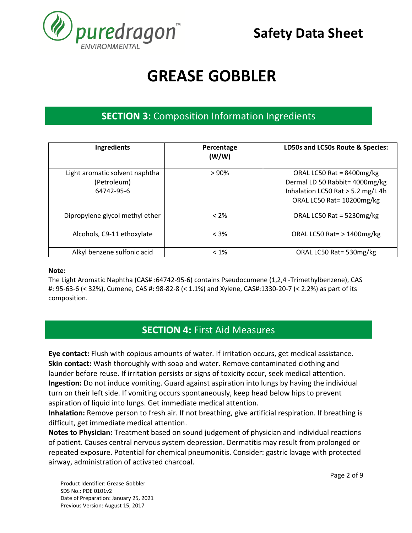

# **GREASE GOBBLER**

### **SECTION 3:** Composition Information Ingredients **SECTION 1. IDENTIFICATION**

| Ingredients                                                 | Percentage<br>(W/W) | LD50s and LC50s Route & Species:                                                                                                 |  |
|-------------------------------------------------------------|---------------------|----------------------------------------------------------------------------------------------------------------------------------|--|
| Light aromatic solvent naphtha<br>(Petroleum)<br>64742-95-6 | >90%                | ORAL LC50 Rat = $8400$ mg/kg<br>Dermal LD 50 Rabbit= 4000mg/kg<br>Inhalation LC50 Rat > 5.2 mg/L 4h<br>ORAL LC50 Rat= 10200mg/kg |  |
| Dipropylene glycol methyl ether                             | $<$ 2%              | ORAL LC50 Rat = 5230mg/kg                                                                                                        |  |
| Alcohols, C9-11 ethoxylate                                  | $< 3\%$             | ORAL LC50 Rat= $>1400$ mg/kg                                                                                                     |  |
| Alkyl benzene sulfonic acid                                 | $< 1\%$             | ORAL LC50 Rat= 530mg/kg                                                                                                          |  |

#### **Note:**

The Light Aromatic Naphtha (CAS# :64742-95-6) contains Pseudocumene (1,2,4 -Trimethylbenzene), CAS #: 95-63-6 (< 32%), Cumene, CAS #: 98-82-8 (< 1.1%) and Xylene, CAS#:1330-20-7 (< 2.2%) as part of its composition.

### **SECTION 4:** First Aid Measures **SECTION 1. IDENTIFICATION**

**Eye contact:** Flush with copious amounts of water. If irritation occurs, get medical assistance. **Skin contact:** Wash thoroughly with soap and water. Remove contaminated clothing and launder before reuse. If irritation persists or signs of toxicity occur, seek medical attention. **Ingestion:** Do not induce vomiting. Guard against aspiration into lungs by having the individual turn on their left side. If vomiting occurs spontaneously, keep head below hips to prevent aspiration of liquid into lungs. Get immediate medical attention.

**Inhalation:** Remove person to fresh air. If not breathing, give artificial respiration. If breathing is difficult, get immediate medical attention.

**Notes to Physician:** Treatment based on sound judgement of physician and individual reactions of patient. Causes central nervous system depression. Dermatitis may result from prolonged or repeated exposure. Potential for chemical pneumonitis. Consider: gastric lavage with protected airway, administration of activated charcoal.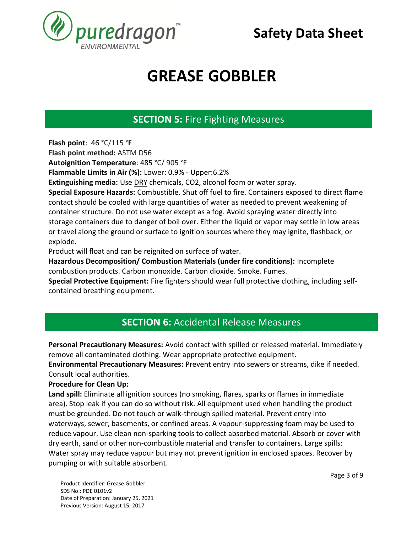

# **GREASE GOBBLER**

#### **SECTION 5:** Fire Fighting Measures **SECTION 1. IDENTIFICATION**

**Flash point**: 46 **°**C/115 °**F**

**Flash point method:** ASTM D56

**Autoignition Temperature**: 485 **°**C/ 905 °F

**Flammable Limits in Air (%):** Lower: 0.9% - Upper:6.2%

**Extinguishing media:** Use DRY chemicals, CO2, alcohol foam or water spray.

**Special Exposure Hazards:** Combustible. Shut off fuel to fire. Containers exposed to direct flame contact should be cooled with large quantities of water as needed to prevent weakening of container structure. Do not use water except as a fog. Avoid spraying water directly into storage containers due to danger of boil over. Either the liquid or vapor may settle in low areas or travel along the ground or surface to ignition sources where they may ignite, flashback, or explode.

Product will float and can be reignited on surface of water.

**Hazardous Decomposition/ Combustion Materials (under fire conditions):** Incomplete combustion products. Carbon monoxide. Carbon dioxide. Smoke. Fumes.

**Special Protective Equipment:** Fire fighters should wear full protective clothing, including selfcontained breathing equipment.

#### **SECTION 6:** Accidental Release Measures **SECTION 1. IDENTIFICATION**

**Personal Precautionary Measures:** Avoid contact with spilled or released material. Immediately remove all contaminated clothing. Wear appropriate protective equipment.

**Environmental Precautionary Measures:** Prevent entry into sewers or streams, dike if needed. Consult local authorities.

#### **Procedure for Clean Up:**

**Land spill:** Eliminate all ignition sources (no smoking, flares, sparks or flames in immediate area). Stop leak if you can do so without risk. All equipment used when handling the product must be grounded. Do not touch or walk-through spilled material. Prevent entry into waterways, sewer, basements, or confined areas. A vapour-suppressing foam may be used to reduce vapour. Use clean non-sparking tools to collect absorbed material. Absorb or cover with dry earth, sand or other non-combustible material and transfer to containers. Large spills: Water spray may reduce vapour but may not prevent ignition in enclosed spaces. Recover by pumping or with suitable absorbent.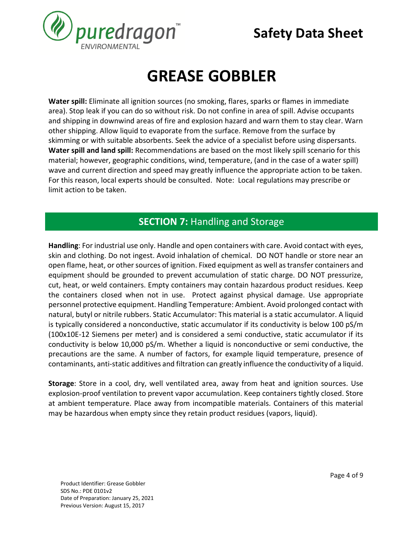

# **GREASE GOBBLER**

**Water spill:** Eliminate all ignition sources (no smoking, flares, sparks or flames in immediate area). Stop leak if you can do so without risk. Do not confine in area of spill. Advise occupants and shipping in downwind areas of fire and explosion hazard and warn them to stay clear. Warn other shipping. Allow liquid to evaporate from the surface. Remove from the surface by skimming or with suitable absorbents. Seek the advice of a specialist before using dispersants. **Water spill and land spill:** Recommendations are based on the most likely spill scenario for this material; however, geographic conditions, wind, temperature, (and in the case of a water spill) wave and current direction and speed may greatly influence the appropriate action to be taken. For this reason, local experts should be consulted. Note: Local regulations may prescribe or limit action to be taken.

#### **SECTION 7:** Handling and Storage **SECTION 1. IDENTIFICATION**

**Handling**: For industrial use only. Handle and open containers with care. Avoid contact with eyes, skin and clothing. Do not ingest. Avoid inhalation of chemical. DO NOT handle or store near an open flame, heat, or other sources of ignition. Fixed equipment as well as transfer containers and equipment should be grounded to prevent accumulation of static charge. DO NOT pressurize, cut, heat, or weld containers. Empty containers may contain hazardous product residues. Keep the containers closed when not in use. Protect against physical damage. Use appropriate personnel protective equipment. Handling Temperature: Ambient. Avoid prolonged contact with natural, butyl or nitrile rubbers. Static Accumulator: This material is a static accumulator. A liquid is typically considered a nonconductive, static accumulator if its conductivity is below 100 pS/m (100x10E-12 Siemens per meter) and is considered a semi conductive, static accumulator if its conductivity is below 10,000 pS/m. Whether a liquid is nonconductive or semi conductive, the precautions are the same. A number of factors, for example liquid temperature, presence of contaminants, anti-static additives and filtration can greatly influence the conductivity of a liquid.

**Storage**: Store in a cool, dry, well ventilated area, away from heat and ignition sources. Use explosion-proof ventilation to prevent vapor accumulation. Keep containers tightly closed. Store at ambient temperature. Place away from incompatible materials. Containers of this material may be hazardous when empty since they retain product residues (vapors, liquid).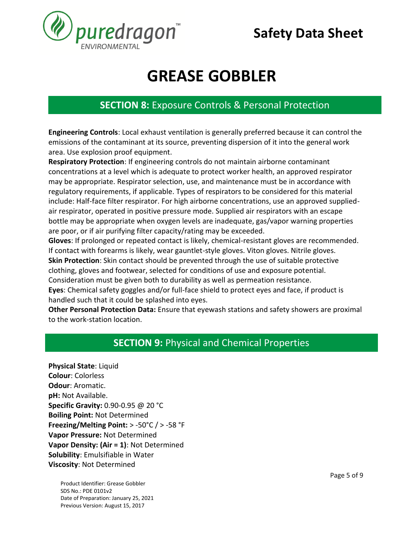

## **GREASE GOBBLER**

### **SECTION 8:** Exposure Controls & Personal Protection **SECTION 1. IDENTIFICATION**

**Engineering Controls**: Local exhaust ventilation is generally preferred because it can control the emissions of the contaminant at its source, preventing dispersion of it into the general work area. Use explosion proof equipment.

**Respiratory Protection**: If engineering controls do not maintain airborne contaminant concentrations at a level which is adequate to protect worker health, an approved respirator may be appropriate. Respirator selection, use, and maintenance must be in accordance with regulatory requirements, if applicable. Types of respirators to be considered for this material include: Half-face filter respirator. For high airborne concentrations, use an approved suppliedair respirator, operated in positive pressure mode. Supplied air respirators with an escape bottle may be appropriate when oxygen levels are inadequate, gas/vapor warning properties are poor, or if air purifying filter capacity/rating may be exceeded.

**Gloves**: If prolonged or repeated contact is likely, chemical-resistant gloves are recommended. If contact with forearms is likely, wear gauntlet-style gloves. Viton gloves. Nitrile gloves. **Skin Protection**: Skin contact should be prevented through the use of suitable protective clothing, gloves and footwear, selected for conditions of use and exposure potential. Consideration must be given both to durability as well as permeation resistance.

**Eyes**: Chemical safety goggles and/or full-face shield to protect eyes and face, if product is handled such that it could be splashed into eyes.

**Other Personal Protection Data:** Ensure that eyewash stations and safety showers are proximal to the work-station location.

#### **SECTION 9:** Physical and Chemical Properties **SECTION 1. IDENTIFICATION**

**Physical State**: Liquid **Colour**: Colorless **Odour**: Aromatic. **pH:** Not Available. **Specific Gravity:** 0.90-0.95 @ 20 °C **Boiling Point:** Not Determined **Freezing/Melting Point:** > -50°C / > -58 °F **Vapor Pressure:** Not Determined **Vapor Density: (Air = 1)**: Not Determined **Solubility**: Emulsifiable in Water **Viscosity**: Not Determined

Product Identifier: Grease Gobbler SDS No.: PDE 0101v2 Date of Preparation: January 25, 2021 Previous Version: August 15, 2017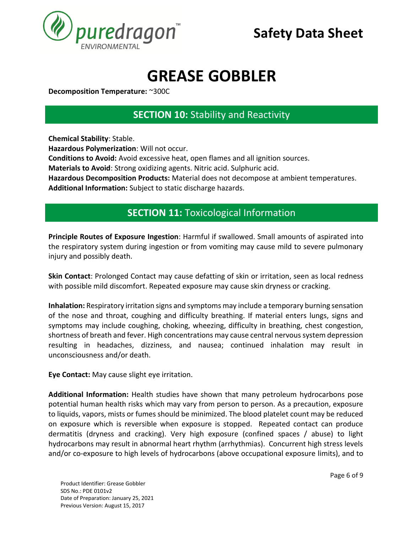

# **GREASE GOBBLER**

**Decomposition Temperature:** ~300C

**SECTION 10: Stability and Reactivity SECTION 1. IDENTIFICATION**

**Chemical Stability**: Stable. **Hazardous Polymerization**: Will not occur. **Conditions to Avoid:** Avoid excessive heat, open flames and all ignition sources. **Materials to Avoid**: Strong oxidizing agents. Nitric acid. Sulphuric acid. **Hazardous Decomposition Products:** Material does not decompose at ambient temperatures. **Additional Information:** Subject to static discharge hazards.

#### **SECTION 11:** Toxicological Information **SECTION 1. IDENTIFICATION**

**Principle Routes of Exposure Ingestion**: Harmful if swallowed. Small amounts of aspirated into the respiratory system during ingestion or from vomiting may cause mild to severe pulmonary injury and possibly death.

**Skin Contact**: Prolonged Contact may cause defatting of skin or irritation, seen as local redness with possible mild discomfort. Repeated exposure may cause skin dryness or cracking.

**Inhalation:** Respiratory irritation signs and symptoms may include a temporary burning sensation of the nose and throat, coughing and difficulty breathing. If material enters lungs, signs and symptoms may include coughing, choking, wheezing, difficulty in breathing, chest congestion, shortness of breath and fever. High concentrations may cause central nervous system depression resulting in headaches, dizziness, and nausea; continued inhalation may result in unconsciousness and/or death.

**Eye Contact:** May cause slight eye irritation.

**Additional Information:** Health studies have shown that many petroleum hydrocarbons pose potential human health risks which may vary from person to person. As a precaution, exposure to liquids, vapors, mists or fumes should be minimized. The blood platelet count may be reduced on exposure which is reversible when exposure is stopped. Repeated contact can produce dermatitis (dryness and cracking). Very high exposure (confined spaces / abuse) to light hydrocarbons may result in abnormal heart rhythm (arrhythmias). Concurrent high stress levels and/or co-exposure to high levels of hydrocarbons (above occupational exposure limits), and to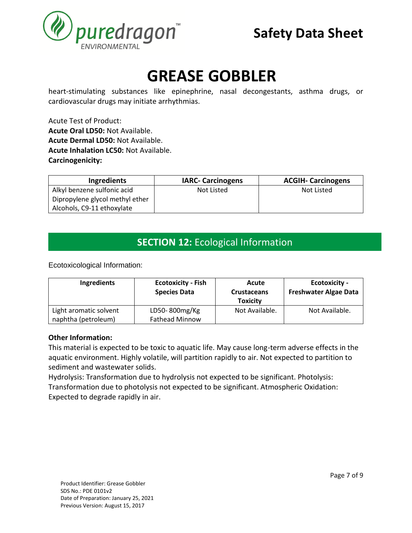

# **GREASE GOBBLER**

heart-stimulating substances like epinephrine, nasal decongestants, asthma drugs, or cardiovascular drugs may initiate arrhythmias.

Acute Test of Product: **Acute Oral LD50:** Not Available. **Acute Dermal LD50:** Not Available. **Acute Inhalation LC50:** Not Available. **Carcinogenicity:**

| <b>Ingredients</b>              | <b>IARC- Carcinogens</b> | <b>ACGIH- Carcinogens</b> |
|---------------------------------|--------------------------|---------------------------|
| Alkyl benzene sulfonic acid     | Not Listed               | Not Listed                |
| Dipropylene glycol methyl ether |                          |                           |
| Alcohols, C9-11 ethoxylate      |                          |                           |

#### **SECTION 12:** Ecological Information **SECTION 1. IDENTIFICATION**

Ecotoxicological Information:

| Ingredients                                   | <b>Ecotoxicity - Fish</b><br><b>Species Data</b> | Acute<br><b>Crustaceans</b><br><b>Toxicity</b> | <b>Ecotoxicity -</b><br><b>Freshwater Algae Data</b> |
|-----------------------------------------------|--------------------------------------------------|------------------------------------------------|------------------------------------------------------|
| Light aromatic solvent<br>naphtha (petroleum) | LD50-800mg/Kg<br><b>Fathead Minnow</b>           | Not Available.                                 | Not Available.                                       |

#### **Other Information:**

This material is expected to be toxic to aquatic life. May cause long-term adverse effects in the aquatic environment. Highly volatile, will partition rapidly to air. Not expected to partition to sediment and wastewater solids.

Hydrolysis: Transformation due to hydrolysis not expected to be significant. Photolysis: Transformation due to photolysis not expected to be significant. Atmospheric Oxidation: Expected to degrade rapidly in air.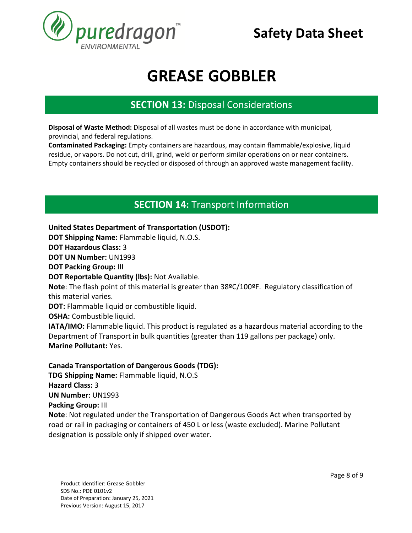

## **GREASE GOBBLER**

### **SECTION 13:** Disposal Considerations **SECTION 1. IDENTIFICATION**

**Disposal of Waste Method:** Disposal of all wastes must be done in accordance with municipal, provincial, and federal regulations.

**Contaminated Packaging:** Empty containers are hazardous, may contain flammable/explosive, liquid residue, or vapors. Do not cut, drill, grind, weld or perform similar operations on or near containers. Empty containers should be recycled or disposed of through an approved waste management facility.

### **SECTION 14:** Transport Information **SECTION 1. IDENTIFICATION**

**United States Department of Transportation (USDOT): DOT Shipping Name:** Flammable liquid, N.O.S. **DOT Hazardous Class:** 3 **DOT UN Number:** UN1993 **DOT Packing Group:** III **DOT Reportable Quantity (lbs):** Not Available. **Note**: The flash point of this material is greater than 38ºC/100ºF. Regulatory classification of this material varies. **DOT:** Flammable liquid or combustible liquid. **OSHA:** Combustible liquid. **IATA/IMO:** Flammable liquid. This product is regulated as a hazardous material according to the Department of Transport in bulk quantities (greater than 119 gallons per package) only. **Marine Pollutant:** Yes.

#### **Canada Transportation of Dangerous Goods (TDG):**

**TDG Shipping Name:** Flammable liquid, N.O.S **Hazard Class:** 3 **UN Number**: UN1993 **Packing Group:** III **Note**: Not regulated under the Transportation of Dangerous Goods Act when transported by road or rail in packaging or containers of 450 L or less (waste excluded). Marine Pollutant designation is possible only if shipped over water.